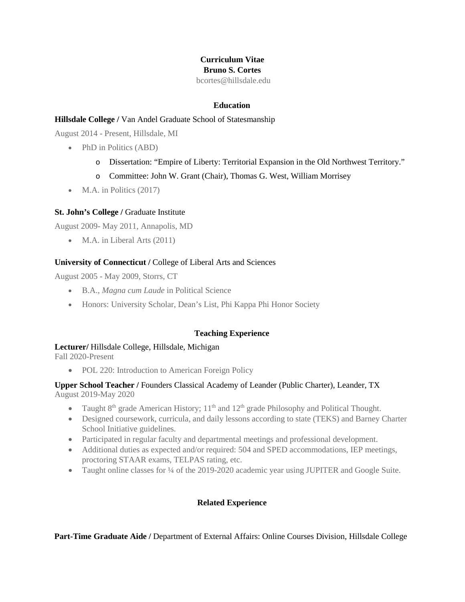# **Curriculum Vitae Bruno S. Cortes**

bcortes@hillsdale.edu

#### **Education**

# **Hillsdale College /** Van Andel Graduate School of Statesmanship

August 2014 - Present, Hillsdale, MI

- PhD in Politics (ABD)
	- o Dissertation: "Empire of Liberty: Territorial Expansion in the Old Northwest Territory."
	- o Committee: John W. Grant (Chair), Thomas G. West, William Morrisey
- M.A. in Politics  $(2017)$

## **St. John's College /** Graduate Institute

August 2009- May 2011, Annapolis, MD

• M.A. in Liberal Arts (2011)

## **University of Connecticut /** College of Liberal Arts and Sciences

August 2005 - May 2009, Storrs, CT

- B.A., *Magna cum Laude* in Political Science
- Honors: University Scholar, Dean's List, Phi Kappa Phi Honor Society

# **Teaching Experience**

#### **Lecturer/** Hillsdale College, Hillsdale, Michigan

Fall 2020-Present

• POL 220: Introduction to American Foreign Policy

## **Upper School Teacher /** Founders Classical Academy of Leander (Public Charter), Leander, TX August 2019-May 2020

- Taught  $8<sup>th</sup>$  grade American History;  $11<sup>th</sup>$  and  $12<sup>th</sup>$  grade Philosophy and Political Thought.
- Designed coursework, curricula, and daily lessons according to state (TEKS) and Barney Charter School Initiative guidelines.
- Participated in regular faculty and departmental meetings and professional development.
- Additional duties as expected and/or required: 504 and SPED accommodations, IEP meetings, proctoring STAAR exams, TELPAS rating, etc.
- Taught online classes for 1/4 of the 2019-2020 academic year using JUPITER and Google Suite.

#### **Related Experience**

**Part-Time Graduate Aide /** Department of External Affairs: Online Courses Division, Hillsdale College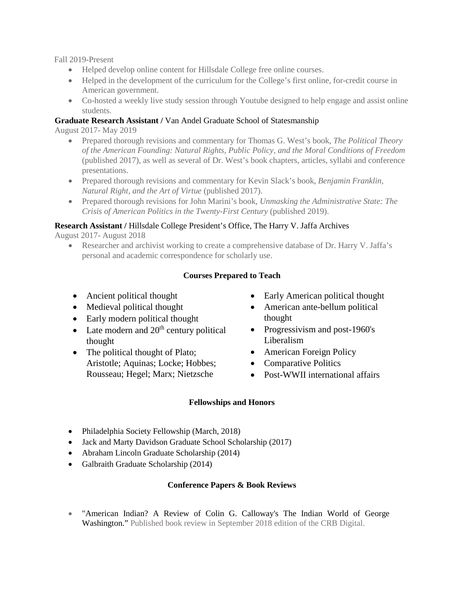Fall 2019-Present

- Helped develop online content for Hillsdale College free online courses.
- Helped in the development of the curriculum for the College's first online, for-credit course in American government.
- Co-hosted a weekly live study session through Youtube designed to help engage and assist online students.

# **Graduate Research Assistant /** Van Andel Graduate School of Statesmanship

August 2017- May 2019

- Prepared thorough revisions and commentary for Thomas G. West's book, *The Political Theory of the American Founding: Natural Rights, Public Policy, and the Moral Conditions of Freedom* (published 2017), as well as several of Dr. West's book chapters, articles, syllabi and conference presentations.
- Prepared thorough revisions and commentary for Kevin Slack's book, *Benjamin Franklin, Natural Right, and the Art of Virtue* (published 2017).
- Prepared thorough revisions for John Marini's book, *Unmasking the Administrative State: The Crisis of American Politics in the Twenty-First Century* (published 2019).

# **Research Assistant /** Hillsdale College President's Office, The Harry V. Jaffa Archives

August 2017- August 2018

• Researcher and archivist working to create a comprehensive database of Dr. Harry V. Jaffa's personal and academic correspondence for scholarly use.

# **Courses Prepared to Teach**

- Ancient political thought
- Medieval political thought
- Early modern political thought
- Late modern and  $20<sup>th</sup>$  century political thought
- The political thought of Plato; Aristotle; Aquinas; Locke; Hobbes; Rousseau; Hegel; Marx; Nietzsche
- Early American political thought
- American ante-bellum political thought
- Progressivism and post-1960's Liberalism
- American Foreign Policy
- Comparative Politics
- Post-WWII international affairs

# **Fellowships and Honors**

- Philadelphia Society Fellowship (March, 2018)
- Jack and Marty Davidson Graduate School Scholarship (2017)
- Abraham Lincoln Graduate Scholarship (2014)
- Galbraith Graduate Scholarship (2014)

# **Conference Papers & Book Reviews**

• "American Indian? A Review of Colin G. Calloway's The Indian World of George Washington." Published book review in September 2018 edition of the CRB Digital.